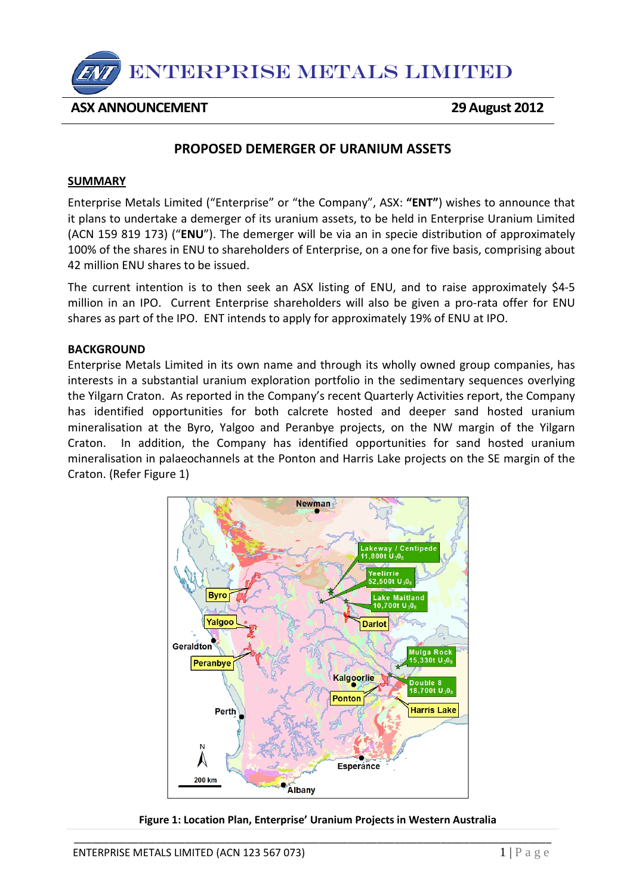

## **ASX ANNOUNCEMENT 29August 2012**

# **PROPOSED DEMERGER OF URANIUM ASSETS**

### **SUMMARY**

Enterprise Metals Limited ("Enterprise" or "the Company", ASX: **"ENT"**) wishes to announce that it plans to undertake a demerger of its uranium assets, to be held in Enterprise Uranium Limited (ACN 159 819 173) ("**ENU**"). The demerger will be via an in specie distribution of approximately 100% of the shares in ENU to shareholders of Enterprise, on a one for five basis, comprising about 42 million ENU shares to be issued.

The current intention is to then seek an ASX listing of ENU, and to raise approximately \$4-5 million in an IPO. Current Enterprise shareholders will also be given a pro-rata offer for ENU shares as part of the IPO. ENT intends to apply for approximately 19% of ENU at IPO.

### **BACKGROUND**

Enterprise Metals Limited in its own name and through its wholly owned group companies, has interests in a substantial uranium exploration portfolio in the sedimentary sequences overlying the Yilgarn Craton. As reported in the Company's recent Quarterly Activities report, the Company has identified opportunities for both calcrete hosted and deeper sand hosted uranium mineralisation at the Byro, Yalgoo and Peranbye projects, on the NW margin of the Yilgarn Craton. In addition, the Company has identified opportunities for sand hosted uranium mineralisation in palaeochannels at the Ponton and Harris Lake projects on the SE margin of the Craton. (Refer Figure 1)





\_\_\_\_\_\_\_\_\_\_\_\_\_\_\_\_\_\_\_\_\_\_\_\_\_\_\_\_\_\_\_\_\_\_\_\_\_\_\_\_\_\_\_\_\_\_\_\_\_\_\_\_\_\_\_\_\_\_\_\_\_\_\_\_\_\_\_\_\_\_\_\_\_\_\_\_\_\_\_\_\_\_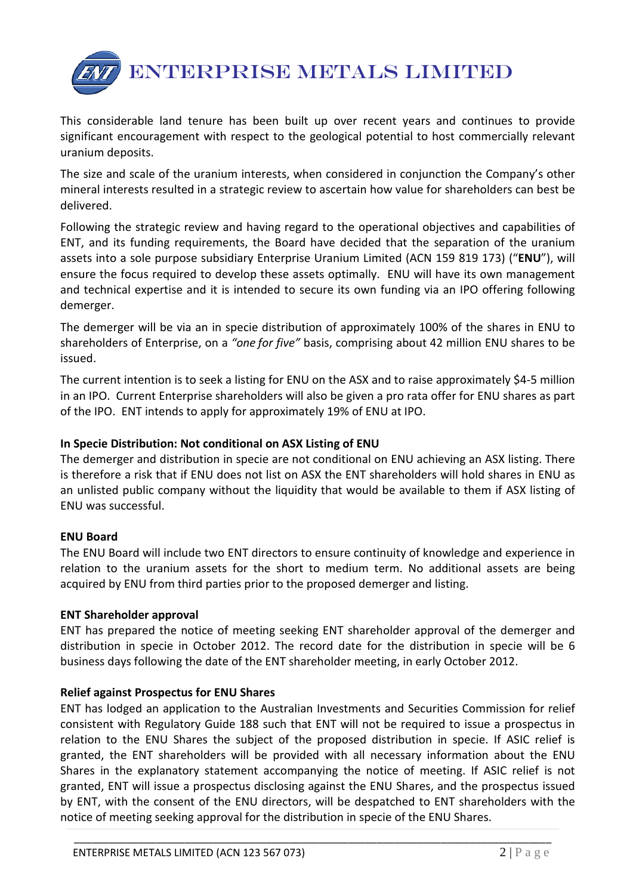

This considerable land tenure has been built up over recent years and continues to provide significant encouragement with respect to the geological potential to host commercially relevant uranium deposits.

The size and scale of the uranium interests, when considered in conjunction the Company's other mineral interests resulted in a strategic review to ascertain how value for shareholders can best be delivered.

Following the strategic review and having regard to the operational objectives and capabilities of ENT, and its funding requirements, the Board have decided that the separation of the uranium assets into a sole purpose subsidiary Enterprise Uranium Limited (ACN 159 819 173) ("**ENU**"), will ensure the focus required to develop these assets optimally. ENU will have its own management and technical expertise and it is intended to secure its own funding via an IPO offering following demerger.

The demerger will be via an in specie distribution of approximately 100% of the shares in ENU to shareholders of Enterprise, on a *"one for five"* basis, comprising about 42 million ENU shares to be issued.

The current intention is to seek a listing for ENU on the ASX and to raise approximately \$4-5 million in an IPO. Current Enterprise shareholders will also be given a pro rata offer for ENU shares as part of the IPO. ENT intends to apply for approximately 19% of ENU at IPO.

## **In Specie Distribution: Not conditional on ASX Listing of ENU**

The demerger and distribution in specie are not conditional on ENU achieving an ASX listing. There is therefore a risk that if ENU does not list on ASX the ENT shareholders will hold shares in ENU as an unlisted public company without the liquidity that would be available to them if ASX listing of ENU was successful.

### **ENU Board**

The ENU Board will include two ENT directors to ensure continuity of knowledge and experience in relation to the uranium assets for the short to medium term. No additional assets are being acquired by ENU from third parties prior to the proposed demerger and listing.

### **ENT Shareholder approval**

ENT has prepared the notice of meeting seeking ENT shareholder approval of the demerger and distribution in specie in October 2012. The record date for the distribution in specie will be 6 business days following the date of the ENT shareholder meeting, in early October 2012.

### **Relief against Prospectus for ENU Shares**

ENT has lodged an application to the Australian Investments and Securities Commission for relief consistent with Regulatory Guide 188 such that ENT will not be required to issue a prospectus in relation to the ENU Shares the subject of the proposed distribution in specie. If ASIC relief is granted, the ENT shareholders will be provided with all necessary information about the ENU Shares in the explanatory statement accompanying the notice of meeting. If ASIC relief is not granted, ENT will issue a prospectus disclosing against the ENU Shares, and the prospectus issued by ENT, with the consent of the ENU directors, will be despatched to ENT shareholders with the notice of meeting seeking approval for the distribution in specie of the ENU Shares.

\_\_\_\_\_\_\_\_\_\_\_\_\_\_\_\_\_\_\_\_\_\_\_\_\_\_\_\_\_\_\_\_\_\_\_\_\_\_\_\_\_\_\_\_\_\_\_\_\_\_\_\_\_\_\_\_\_\_\_\_\_\_\_\_\_\_\_\_\_\_\_\_\_\_\_\_\_\_\_\_\_\_